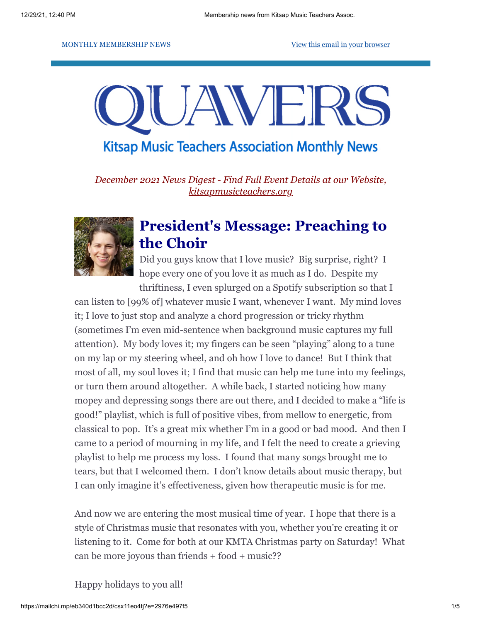#### MONTHLY MEMBERSHIP NEWS **[View this email in your browser](https://mailchi.mp/eb340d1bcc2d/csx11eo4tj?e=2976e497f5)**



**Kitsap Music Teachers Association Monthly News** 

*December 2021 News Digest - Find Full Event Details at our Website, [kitsapmusicteachers.org](http://www.kitsapmusicteachers.org/)*



## **President's Message: Preaching to the Choir**

Did you guys know that I love music? Big surprise, right? I hope every one of you love it as much as I do. Despite my thriftiness, I even splurged on a Spotify subscription so that I

can listen to [99% of] whatever music I want, whenever I want. My mind loves it; I love to just stop and analyze a chord progression or tricky rhythm (sometimes I'm even mid-sentence when background music captures my full attention). My body loves it; my fingers can be seen "playing" along to a tune on my lap or my steering wheel, and oh how I love to dance! But I think that most of all, my soul loves it; I find that music can help me tune into my feelings, or turn them around altogether. A while back, I started noticing how many mopey and depressing songs there are out there, and I decided to make a "life is good!" playlist, which is full of positive vibes, from mellow to energetic, from classical to pop. It's a great mix whether I'm in a good or bad mood. And then I came to a period of mourning in my life, and I felt the need to create a grieving playlist to help me process my loss. I found that many songs brought me to tears, but that I welcomed them. I don't know details about music therapy, but I can only imagine it's effectiveness, given how therapeutic music is for me.

And now we are entering the most musical time of year. I hope that there is a style of Christmas music that resonates with you, whether you're creating it or listening to it. Come for both at our KMTA Christmas party on Saturday! What can be more joyous than friends + food + music??

Happy holidays to you all!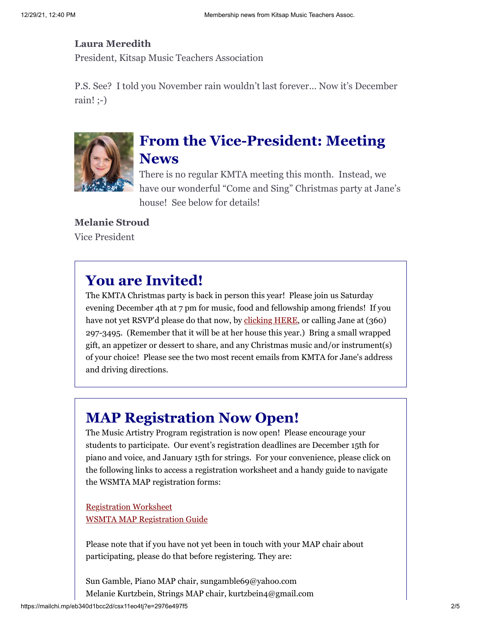### **Laura Meredith**

President, Kitsap Music Teachers Association

P.S. See? I told you November rain wouldn't last forever… Now it's December rain! ;-)



# **From the Vice-President: Meeting News**

There is no regular KMTA meeting this month. Instead, we have our wonderful "Come and Sing" Christmas party at Jane's house! See below for details!

### **Melanie Stroud**

Vice President

# **You are Invited!**

The KMTA Christmas party is back in person this year! Please join us Saturday evening December 4th at 7 pm for music, food and fellowship among friends! If you have not yet RSVP'd please do that now, by [clicking HERE,](https://forms.gle/kq4kkTLS4PAAF7eX9) or calling Jane at (360) 297-3495. (Remember that it will be at her house this year.) Bring a small wrapped gift, an appetizer or dessert to share, and any Christmas music and/or instrument(s) of your choice! Please see the two most recent emails from KMTA for Jane's address and driving directions.

# **MAP Registration Now Open!**

The Music Artistry Program registration is now open! Please encourage your students to participate. Our event's registration deadlines are December 15th for piano and voice, and January 15th for strings. For your convenience, please click on the following links to access a registration worksheet and a handy guide to navigate the WSMTA MAP registration forms:

[Registration Worksheet](https://drive.google.com/file/d/1mM00ul_L7tPimruPlF6baiWBaZ8ep1Q-/view?usp=sharing) [WSMTA MAP Registration Guide](https://drive.google.com/file/d/12fdG6BVww5EEbYRh3gmb31uNuxAFQR4p/view?usp=sharing)

Please note that if you have not yet been in touch with your MAP chair about participating, please do that before registering. They are:

Sun Gamble, Piano MAP chair, sungamble69@yahoo.com Melanie Kurtzbein, Strings MAP chair, kurtzbein4@gmail.com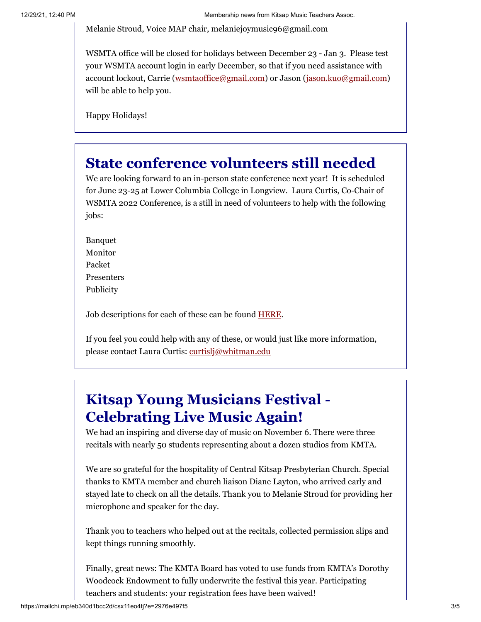Melanie Stroud, Voice MAP chair, melaniejoymusic96@gmail.com

WSMTA office will be closed for holidays between December 23 - Jan 3. Please test your WSMTA account login in early December, so that if you need assistance with account lockout, Carrie [\(wsmtaoffice@gmail.com](mailto:wsmtaoffice@gmail.com)) or Jason ([jason.kuo@gmail.com\)](mailto:jason.kuo@gmail.com) will be able to help you.

Happy Holidays!

## **State conference volunteers still needed**

We are looking forward to an in-person state conference next year! It is scheduled for June 23-25 at Lower Columbia College in Longview. Laura Curtis, Co-Chair of WSMTA 2022 Conference, is a still in need of volunteers to help with the following jobs:

Banquet Monitor Packet Presenters Publicity

Job descriptions for each of these can be found **HERE**.

If you feel you could help with any of these, or would just like more information, please contact Laura Curtis: [curtislj@whitman.edu](mailto:curtislj@whitman.edu)

# **Kitsap Young Musicians Festival - Celebrating Live Music Again!**

We had an inspiring and diverse day of music on November 6. There were three recitals with nearly 50 students representing about a dozen studios from KMTA.

We are so grateful for the hospitality of Central Kitsap Presbyterian Church. Special thanks to KMTA member and church liaison Diane Layton, who arrived early and stayed late to check on all the details. Thank you to Melanie Stroud for providing her microphone and speaker for the day.

Thank you to teachers who helped out at the recitals, collected permission slips and kept things running smoothly.

Finally, great news: The KMTA Board has voted to use funds from KMTA's Dorothy Woodcock Endowment to fully underwrite the festival this year. Participating teachers and students: your registration fees have been waived!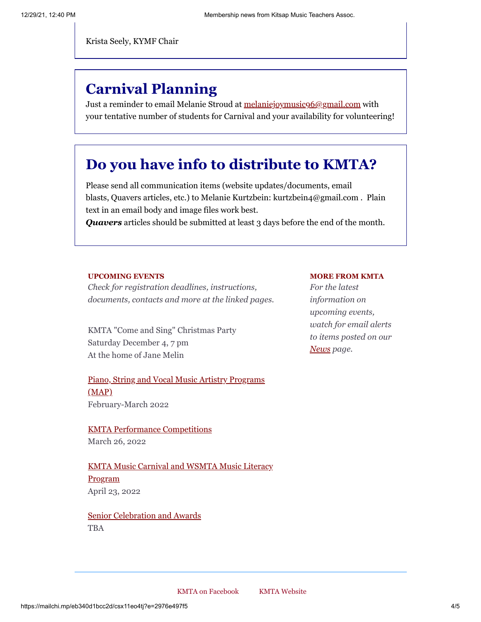Krista Seely, KYMF Chair

# **Carnival Planning**

Just a reminder to email Melanie Stroud at [melaniejoymusic96@gmail.com](mailto:melaniejoymusic96@gmail.com) with your tentative number of students for Carnival and your availability for volunteering!

### **Do you have info to distribute to KMTA?**

Please send all communication items (website updates/documents, email blasts, Quavers articles, etc.) to Melanie Kurtzbein: kurtzbein4@gmail.com . Plain text in an email body and image files work best.

*Quavers* articles should be submitted at least 3 days before the end of the month.

#### **UPCOMING EVENTS**

*Check for registration deadlines, instructions, documents, contacts and more at the linked pages.*

KMTA "Come and Sing" Christmas Party Saturday December 4, 7 pm At the home of Jane Melin

[Piano, String and Vocal Music Artistry Programs](http://www.kitsapmusicteachers.org/map/) (MAP) February-March 2022

KMTA [Performance Competitions](https://kitsapmusicteachers.org/competitions-and-awards/) March 26, 2022

[KMTA Music Carnival and WSMTA Music Literacy](http://www.kitsapmusicteachers.org/kmta-music-carnival/) Program April 23, 2022

[Senior Celebration and Awards](http://www.kitsapmusicteachers.org/senior-celebration/) TBA

#### **MORE FROM KMTA**

*For the latest information on upcoming events, watch for email alerts to items posted on our [News](http://www.kitsapmusicteachers.org/news/) page.*